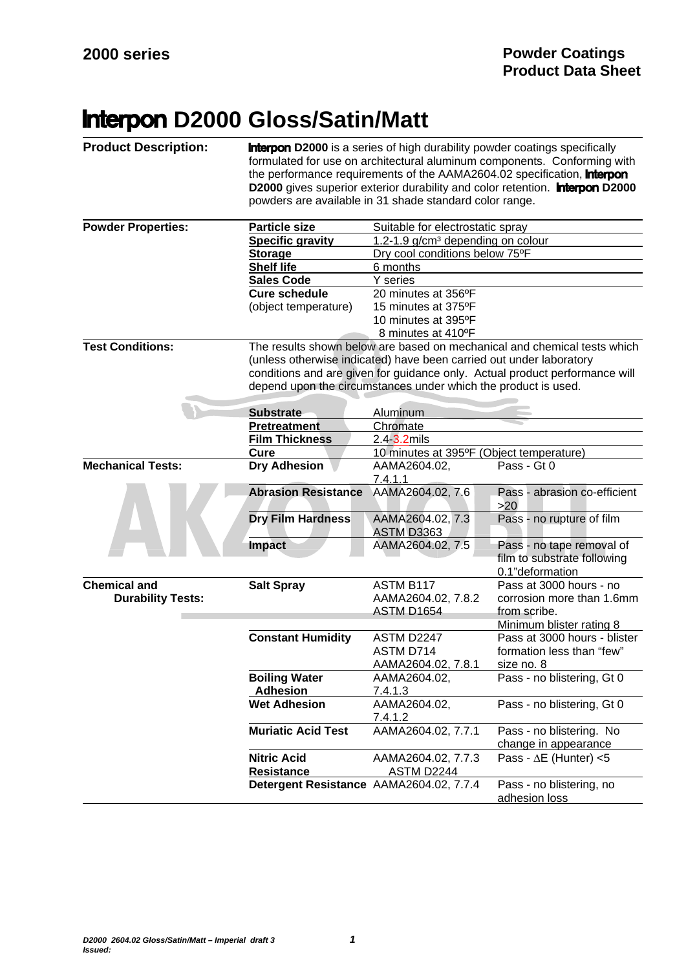## **Interpon D2000 Gloss/Satin/Matt**

| <b>Product Description:</b> | <b>Interpon D2000</b> is a series of high durability powder coatings specifically<br>formulated for use on architectural aluminum components. Conforming with<br>the performance requirements of the AAMA2604.02 specification, <b>Interpon</b><br>D2000 gives superior exterior durability and color retention. <b>Interpon D2000</b><br>powders are available in 31 shade standard color range. |                                                                     |                                                                             |  |
|-----------------------------|---------------------------------------------------------------------------------------------------------------------------------------------------------------------------------------------------------------------------------------------------------------------------------------------------------------------------------------------------------------------------------------------------|---------------------------------------------------------------------|-----------------------------------------------------------------------------|--|
| <b>Powder Properties:</b>   | <b>Particle size</b>                                                                                                                                                                                                                                                                                                                                                                              | Suitable for electrostatic spray                                    |                                                                             |  |
|                             | <b>Specific gravity</b>                                                                                                                                                                                                                                                                                                                                                                           | 1.2-1.9 g/cm <sup>3</sup> depending on colour                       |                                                                             |  |
|                             | <b>Storage</b>                                                                                                                                                                                                                                                                                                                                                                                    | Dry cool conditions below 75°F                                      |                                                                             |  |
|                             | <b>Shelf life</b>                                                                                                                                                                                                                                                                                                                                                                                 | 6 months                                                            |                                                                             |  |
|                             | <b>Sales Code</b>                                                                                                                                                                                                                                                                                                                                                                                 | Y series                                                            |                                                                             |  |
|                             | <b>Cure schedule</b>                                                                                                                                                                                                                                                                                                                                                                              | 20 minutes at 356°F                                                 |                                                                             |  |
|                             | (object temperature)                                                                                                                                                                                                                                                                                                                                                                              | 15 minutes at 375°F                                                 |                                                                             |  |
|                             |                                                                                                                                                                                                                                                                                                                                                                                                   | 10 minutes at 395°F                                                 |                                                                             |  |
|                             |                                                                                                                                                                                                                                                                                                                                                                                                   | 8 minutes at 410°F                                                  |                                                                             |  |
| <b>Test Conditions:</b>     |                                                                                                                                                                                                                                                                                                                                                                                                   |                                                                     | The results shown below are based on mechanical and chemical tests which    |  |
|                             |                                                                                                                                                                                                                                                                                                                                                                                                   | (unless otherwise indicated) have been carried out under laboratory |                                                                             |  |
|                             |                                                                                                                                                                                                                                                                                                                                                                                                   |                                                                     | conditions and are given for guidance only. Actual product performance will |  |
|                             |                                                                                                                                                                                                                                                                                                                                                                                                   | depend upon the circumstances under which the product is used.      |                                                                             |  |
|                             | <b>Substrate</b>                                                                                                                                                                                                                                                                                                                                                                                  | Aluminum                                                            |                                                                             |  |
|                             | Pretreatment                                                                                                                                                                                                                                                                                                                                                                                      | Chromate                                                            |                                                                             |  |
|                             | <b>Film Thickness</b>                                                                                                                                                                                                                                                                                                                                                                             | 2.4 3.2mils                                                         |                                                                             |  |
|                             | Cure                                                                                                                                                                                                                                                                                                                                                                                              | 10 minutes at 395°F (Object temperature)                            |                                                                             |  |
| <b>Mechanical Tests:</b>    | <b>Dry Adhesion</b>                                                                                                                                                                                                                                                                                                                                                                               | AAMA2604.02,                                                        | Pass - Gt 0                                                                 |  |
|                             |                                                                                                                                                                                                                                                                                                                                                                                                   | 7.4.1.1                                                             |                                                                             |  |
|                             | <b>Abrasion Resistance</b>                                                                                                                                                                                                                                                                                                                                                                        | AAMA2604.02, 7.6                                                    | Pass - abrasion co-efficient<br>>20                                         |  |
|                             | <b>Dry Film Hardness</b>                                                                                                                                                                                                                                                                                                                                                                          | AAMA2604.02, 7.3<br><b>ASTM D3363</b>                               | Pass - no rupture of film                                                   |  |
|                             | <b>Impact</b>                                                                                                                                                                                                                                                                                                                                                                                     | AAMA2604.02, 7.5                                                    | Pass - no tape removal of<br>film to substrate following<br>0.1"deformation |  |
| <b>Chemical and</b>         | <b>Salt Spray</b>                                                                                                                                                                                                                                                                                                                                                                                 | ASTM B117                                                           | Pass at 3000 hours - no                                                     |  |
| <b>Durability Tests:</b>    |                                                                                                                                                                                                                                                                                                                                                                                                   | AAMA2604.02, 7.8.2                                                  | corrosion more than 1.6mm                                                   |  |
|                             |                                                                                                                                                                                                                                                                                                                                                                                                   | ASTM D1654                                                          | from scribe.                                                                |  |
|                             |                                                                                                                                                                                                                                                                                                                                                                                                   |                                                                     | Minimum blister rating 8                                                    |  |
|                             | <b>Constant Humidity</b>                                                                                                                                                                                                                                                                                                                                                                          | ASTM D2247                                                          | Pass at 3000 hours - blister                                                |  |
|                             |                                                                                                                                                                                                                                                                                                                                                                                                   | ASTM D714                                                           | formation less than "few"                                                   |  |
|                             |                                                                                                                                                                                                                                                                                                                                                                                                   | AAMA2604.02, 7.8.1                                                  | size no. 8                                                                  |  |
|                             | <b>Boiling Water</b>                                                                                                                                                                                                                                                                                                                                                                              | AAMA2604.02,                                                        | Pass - no blistering, Gt 0                                                  |  |
|                             | <b>Adhesion</b>                                                                                                                                                                                                                                                                                                                                                                                   | 7.4.1.3                                                             |                                                                             |  |
|                             | <b>Wet Adhesion</b>                                                                                                                                                                                                                                                                                                                                                                               | AAMA2604.02,                                                        | Pass - no blistering, Gt 0                                                  |  |
|                             |                                                                                                                                                                                                                                                                                                                                                                                                   | 7.4.1.2                                                             |                                                                             |  |
|                             | <b>Muriatic Acid Test</b>                                                                                                                                                                                                                                                                                                                                                                         | AAMA2604.02, 7.7.1                                                  | Pass - no blistering. No<br>change in appearance                            |  |
|                             | <b>Nitric Acid</b>                                                                                                                                                                                                                                                                                                                                                                                | AAMA2604.02, 7.7.3                                                  | Pass - $\Delta E$ (Hunter) <5                                               |  |
|                             | <b>Resistance</b>                                                                                                                                                                                                                                                                                                                                                                                 | <b>ASTM D2244</b>                                                   |                                                                             |  |
|                             | Detergent Resistance AAMA2604.02, 7.7.4                                                                                                                                                                                                                                                                                                                                                           |                                                                     | Pass - no blistering, no                                                    |  |
|                             |                                                                                                                                                                                                                                                                                                                                                                                                   |                                                                     | adhesion loss                                                               |  |